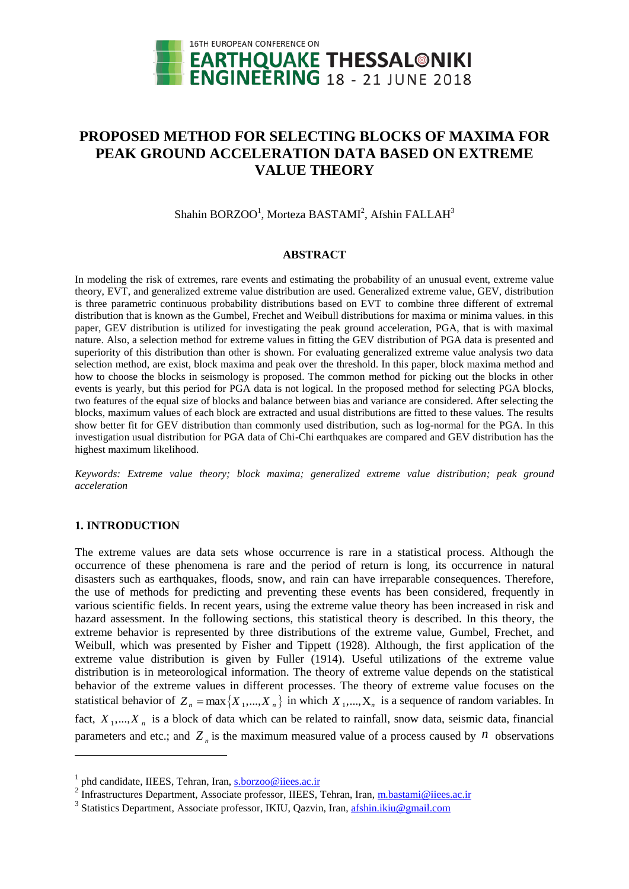

# **PROPOSED METHOD FOR SELECTING BLOCKS OF MAXIMA FOR PEAK GROUND ACCELERATION DATA BASED ON EXTREME VALUE THEORY**

Shahin BORZOO<sup>1</sup>, Morteza BASTAMI<sup>2</sup>, Afshin FALLAH<sup>3</sup>

#### **ABSTRACT**

In modeling the risk of extremes, rare events and estimating the probability of an unusual event, extreme value theory, EVT, and generalized extreme value distribution are used. Generalized extreme value, GEV, distribution is three parametric continuous probability distributions based on EVT to combine three different of extremal distribution that is known as the Gumbel, Frechet and Weibull distributions for maxima or minima values. in this paper, GEV distribution is utilized for investigating the peak ground acceleration, PGA, that is with maximal nature. Also, a selection method for extreme values in fitting the GEV distribution of PGA data is presented and superiority of this distribution than other is shown. For evaluating generalized extreme value analysis two data selection method, are exist, block maxima and peak over the threshold. In this paper, block maxima method and how to choose the blocks in seismology is proposed. The common method for picking out the blocks in other events is yearly, but this period for PGA data is not logical. In the proposed method for selecting PGA blocks, two features of the equal size of blocks and balance between bias and variance are considered. After selecting the blocks, maximum values of each block are extracted and usual distributions are fitted to these values. The results show better fit for GEV distribution than commonly used distribution, such as log-normal for the PGA. In this investigation usual distribution for PGA data of Chi-Chi earthquakes are compared and GEV distribution has the highest maximum likelihood.

*Keywords: Extreme value theory; block maxima; generalized extreme value distribution; peak ground acceleration*

# **1. INTRODUCTION**

l

The extreme values are data sets whose occurrence is rare in a statistical process. Although the occurrence of these phenomena is rare and the period of return is long, its occurrence in natural disasters such as earthquakes, floods, snow, and rain can have irreparable consequences. Therefore, the use of methods for predicting and preventing these events has been considered, frequently in various scientific fields. In recent years, using the extreme value theory has been increased in risk and hazard assessment. In the following sections, this statistical theory is described. In this theory, the extreme behavior is represented by three distributions of the extreme value, Gumbel, Frechet, and Weibull, which was presented by Fisher and Tippett (1928). Although, the first application of the extreme value distribution is given by Fuller (1914). Useful utilizations of the extreme value distribution is in meteorological information. The theory of extreme value depends on the statistical behavior of the extreme values in different processes. The theory of extreme value focuses on the statistical behavior of  $Z_n = \max\{X_1, ..., X_n\}$  in which  $X_1, ..., X_n$  is a sequence of random variables. In fact,  $X_1, \ldots, X_n$  is a block of data which can be related to rainfall, snow data, seismic data, financial parameters and etc.; and  $Z_n$  is the maximum measured value of a process caused by  $n$  observations

<sup>&</sup>lt;sup>1</sup> phd candidate, IIEES, Tehran, Iran[, s.borzoo@iiees.ac.ir](mailto:s.borzoo@iiees.ac.ir)

<sup>&</sup>lt;sup>2</sup> Infrastructures Department, Associate professor, IIEES, Tehran, Iran, [m.bastami@iiees.ac.ir](mailto:m.bastami@iiees.ac.ir)

<sup>&</sup>lt;sup>3</sup> Statistics Department, Associate professor, IKIU, Qazvin, Iran, [afshin.ikiu@gmail.com](mailto:afshin.ikiu@gmail.com)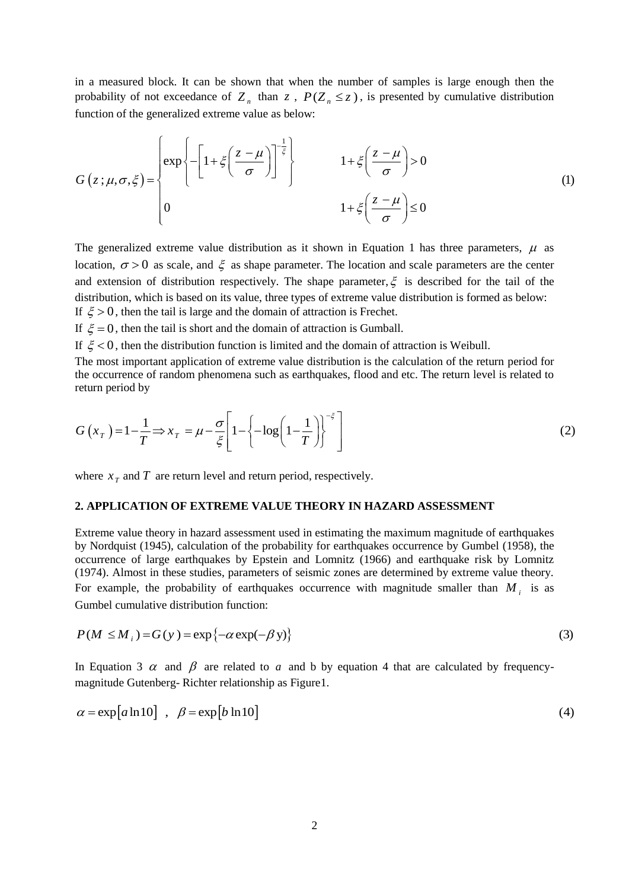in a measured block. It can be shown that when the number of samples is large enough then the function of the generalized extreme value as below:

in a measured block. It can be shown that when the number of samples is large enough then the probability of not exceedance of 
$$
Z_n
$$
 than  $z$ ,  $P(Z_n \le z)$ , is presented by cumulative distribution function of the generalized extreme value as below:  

$$
G(z; \mu, \sigma, \xi) = \begin{cases} exp \left\{ -\left[1 + \xi \left(\frac{z - \mu}{\sigma}\right)\right]^{-\frac{1}{\xi}} \right\} & 1 + \xi \left(\frac{z - \mu}{\sigma}\right) > 0 \\ 0 & 1 + \xi \left(\frac{z - \mu}{\sigma}\right) \le 0 \end{cases}
$$
(1)

The generalized extreme value distribution as it shown in Equation 1 has three parameters,  $\mu$  as location,  $\sigma > 0$  as scale, and  $\xi$  as shape parameter. The location and scale parameters are the center and extension of distribution respectively. The shape parameter,  $\xi$  is described for the tail of the distribution, which is based on its value, three types of extreme value distribution is formed as below: If  $\xi > 0$ , then the tail is large and the domain of attraction is Frechet.

If  $\xi = 0$ , then the tail is short and the domain of attraction is Gumball.

If  $\xi$  < 0, then the distribution function is limited and the domain of attraction is Weibull.

The most important application of extreme value distribution is the calculation of the return period for the occurrence of random phenomena such as earthquakes, flood and etc. The return level is related to return period by

The most important application of extreme value distribution is the calculation of the return period for the occurrence of random phenomena such as earthquake, flood and etc. The return level is related to return period by\n
$$
G(x_T) = 1 - \frac{1}{T} \Rightarrow x_T = \mu - \frac{\sigma}{\xi} \left[ 1 - \left\{-\log\left(1 - \frac{1}{T}\right)\right\}^{-\xi} \right]
$$
\n(2)

where  $x_T$  and  $T$  are return level and return period, respectively.

## **2. APPLICATION OF EXTREME VALUE THEORY IN HAZARD ASSESSMENT**

Extreme value theory in hazard assessment used in estimating the maximum magnitude of earthquakes by Nordquist (1945), calculation of the probability for earthquakes occurrence by Gumbel (1958), the occurrence of large earthquakes by Epstein and Lomnitz (1966) and earthquake risk by Lomnitz (1974). Almost in these studies, parameters of seismic zones are determined by extreme value theory. For example, the probability of earthquakes occurrence with magnitude smaller than  $M_i$  is as Gumbel cumulative distribution function: (1974). Almost in these studies, parameters of seismic zones are determined by extreme value theory.<br>For example, the probability of earthquakes occurrence with magnitude smaller than  $M_i$  is as<br>Gumbel cumulative distribu

$$
P(M \leq M_i) = G(y) = \exp\{-\alpha \exp(-\beta y)\}\tag{3}
$$

In Equation 3  $\alpha$  and  $\beta$  are related to  $\alpha$  and b by equation 4 that are calculated by frequencymagnitude Gutenberg- Richter relationship as Figure1. In Equation 3  $\alpha$  and  $\beta$  are related to  $a$  and b by equation 4 that are calculated by frequency-<br>magnitude Gutenberg- Richter relationship as Figure 1.<br> $\alpha = \exp[a \ln 10]$ ,  $\beta = \exp[b \ln 10]$  (4)

$$
\alpha = \exp[a \ln 10], \quad \beta = \exp[b \ln 10]
$$
\n(4)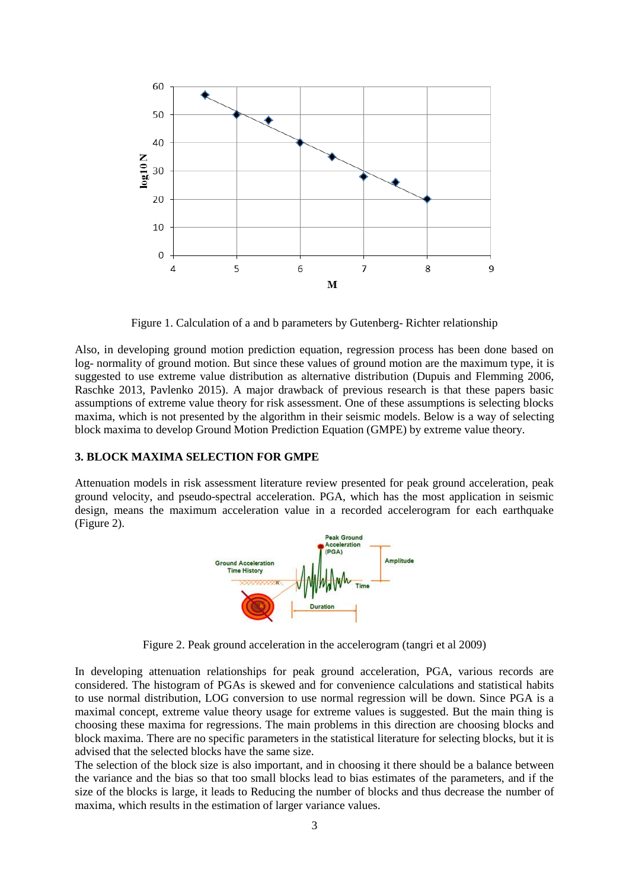

Figure 1. Calculation of a and b parameters by Gutenberg- Richter relationship

Also, in developing ground motion prediction equation, regression process has been done based on log- normality of ground motion. But since these values of ground motion are the maximum type, it is suggested to use extreme value distribution as alternative distribution (Dupuis and Flemming 2006, Raschke 2013, Pavlenko 2015). A major drawback of previous research is that these papers basic assumptions of extreme value theory for risk assessment. One of these assumptions is selecting blocks maxima, which is not presented by the algorithm in their seismic models. Below is a way of selecting block maxima to develop Ground Motion Prediction Equation (GMPE) by extreme value theory.

## **3. BLOCK MAXIMA SELECTION FOR GMPE**

Attenuation models in risk assessment literature review presented for peak ground acceleration, peak ground velocity, and pseudo-spectral acceleration. PGA, which has the most application in seismic design, means the maximum acceleration value in a recorded accelerogram for each earthquake (Figure 2).



Figure 2. Peak ground acceleration in the accelerogram (tangri et al 2009)

In developing attenuation relationships for peak ground acceleration, PGA, various records are considered. The histogram of PGAs is skewed and for convenience calculations and statistical habits to use normal distribution, LOG conversion to use normal regression will be down. Since PGA is a maximal concept, extreme value theory usage for extreme values is suggested. But the main thing is choosing these maxima for regressions. The main problems in this direction are choosing blocks and block maxima. There are no specific parameters in the statistical literature for selecting blocks, but it is advised that the selected blocks have the same size.

The selection of the block size is also important, and in choosing it there should be a balance between the variance and the bias so that too small blocks lead to bias estimates of the parameters, and if the size of the blocks is large, it leads to Reducing the number of blocks and thus decrease the number of maxima, which results in the estimation of larger variance values.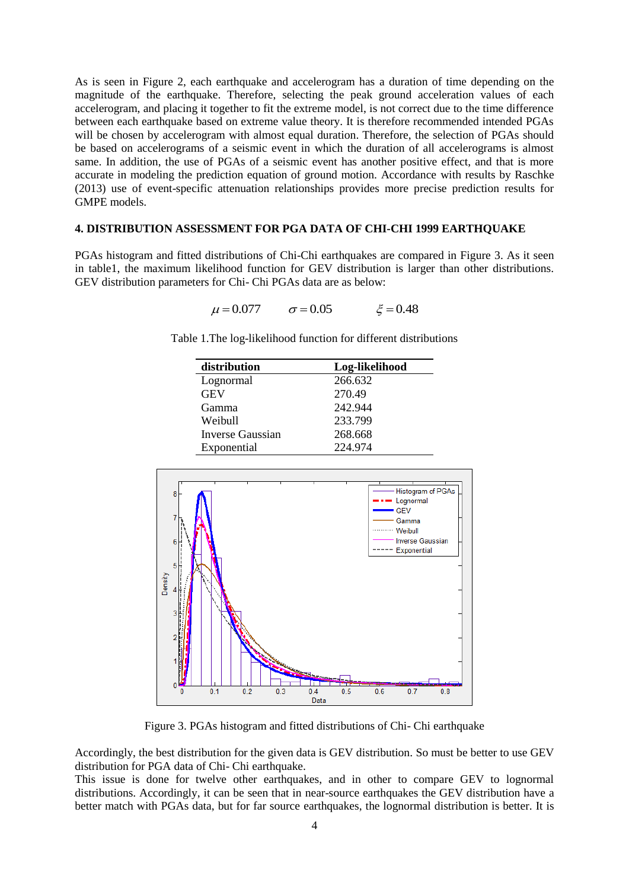As is seen in Figure 2, each earthquake and accelerogram has a duration of time depending on the magnitude of the earthquake. Therefore, selecting the peak ground acceleration values of each accelerogram, and placing it together to fit the extreme model, is not correct due to the time difference between each earthquake based on extreme value theory. It is therefore recommended intended PGAs will be chosen by accelerogram with almost equal duration. Therefore, the selection of PGAs should be based on accelerograms of a seismic event in which the duration of all accelerograms is almost same. In addition, the use of PGAs of a seismic event has another positive effect, and that is more accurate in modeling the prediction equation of ground motion. Accordance with results by Raschke (2013) use of event-specific attenuation relationships provides more precise prediction results for GMPE models.

## **4. DISTRIBUTION ASSESSMENT FOR PGA DATA OF CHI-CHI 1999 EARTHQUAKE**

PGAs histogram and fitted distributions of Chi-Chi earthquakes are compared in Figure 3. As it seen in table1, the maximum likelihood function for GEV distribution is larger than other distributions. GEV distribution parameters for Chi- Chi PGAs data are as below:<br> $\mu = 0.077$   $\sigma = 0.05$   $\xi = 0.48$ 

$$
\mu = 0.077
$$
  $\sigma = 0.05$   $\xi = 0.48$ 

Table 1.The log-likelihood function for different distributions

| distribution     | Log-likelihood |
|------------------|----------------|
| Lognormal        | 266.632        |
| <b>GEV</b>       | 270.49         |
| Gamma            | 242.944        |
| Weibull          | 233.799        |
| Inverse Gaussian | 268.668        |
| Exponential      | 224.974        |



Figure 3. PGAs histogram and fitted distributions of Chi- Chi earthquake

Accordingly, the best distribution for the given data is GEV distribution. So must be better to use GEV distribution for PGA data of Chi- Chi earthquake.

This issue is done for twelve other earthquakes, and in other to compare GEV to lognormal distributions. Accordingly, it can be seen that in near-source earthquakes the GEV distribution have a better match with PGAs data, but for far source earthquakes, the lognormal distribution is better. It is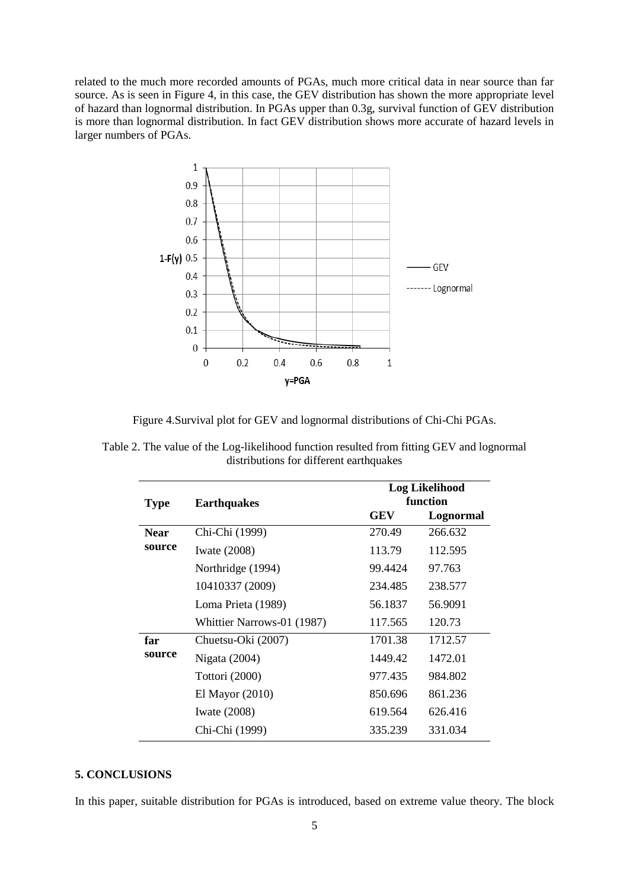related to the much more recorded amounts of PGAs, much more critical data in near source than far source. As is seen in Figure 4, in this case, the GEV distribution has shown the more appropriate level of hazard than lognormal distribution. In PGAs upper than 0.3g, survival function of GEV distribution is more than lognormal distribution. In fact GEV distribution shows more accurate of hazard levels in larger numbers of PGAs.



Figure 4.Survival plot for GEV and lognormal distributions of Chi-Chi PGAs.

Table 2. The value of the Log-likelihood function resulted from fitting GEV and lognormal distributions for different earthquakes

| <b>Type</b>           | <b>Earthquakes</b>         | Log Likelihood<br>function |           |
|-----------------------|----------------------------|----------------------------|-----------|
|                       |                            | GEV                        | Lognormal |
| <b>Near</b><br>source | Chi-Chi (1999)             | 270.49                     | 266.632   |
|                       | Iwate $(2008)$             | 113.79                     | 112.595   |
|                       | Northridge (1994)          | 99.4424                    | 97.763    |
|                       | 10410337 (2009)            | 234.485                    | 238.577   |
|                       | Loma Prieta (1989)         | 56.1837                    | 56.9091   |
|                       | Whittier Narrows-01 (1987) | 117.565                    | 120.73    |
| far<br>source         | Chuetsu-Oki (2007)         | 1701.38                    | 1712.57   |
|                       | Nigata (2004)              | 1449.42                    | 1472.01   |
|                       | Tottori (2000)             | 977.435                    | 984.802   |
|                       | El Mayor $(2010)$          | 850.696                    | 861.236   |
|                       | Iwate $(2008)$             | 619.564                    | 626.416   |
|                       | Chi-Chi (1999)             | 335.239                    | 331.034   |

# **5. CONCLUSIONS**

In this paper, suitable distribution for PGAs is introduced, based on extreme value theory. The block